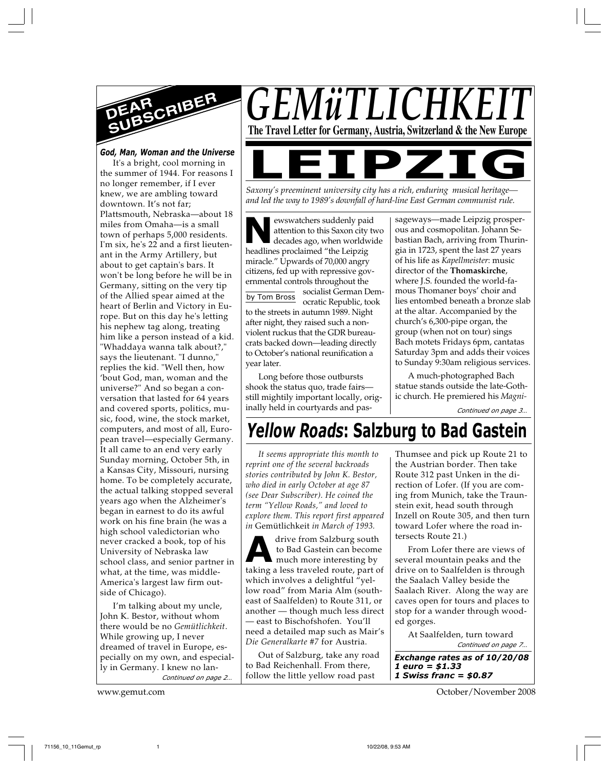

*God, Man, Woman and the Universe* It's a bright, cool morning in the summer of 1944. For reasons I no longer remember, if I ever knew, we are ambling toward downtown. It's not far; Plattsmouth, Nebraska—about 18 miles from Omaha—is a small town of perhaps 5,000 residents. I'm six, he's 22 and a first lieutenant in the Army Artillery, but about to get captain's bars. It won't be long before he will be in Germany, sitting on the very tip of the Allied spear aimed at the heart of Berlin and Victory in Europe. But on this day he's letting his nephew tag along, treating him like a person instead of a kid. "Whaddaya wanna talk about?," says the lieutenant. "I dunno," replies the kid. "Well then, how 'bout God, man, woman and the universe?" And so began a conversation that lasted for 64 years and covered sports, politics, music, food, wine, the stock market, computers, and most of all, European travel—especially Germany. It all came to an end very early Sunday morning, October 5th, in a Kansas City, Missouri, nursing home. To be completely accurate, the actual talking stopped several years ago when the Alzheimer's began in earnest to do its awful work on his fine brain (he was a high school valedictorian who never cracked a book, top of his University of Nebraska law school class, and senior partner in what, at the time, was middle-America's largest law firm outside of Chicago).

*Continued on page 2…* I'm talking about my uncle, John K. Bestor, without whom there would be no *Gemütlichkeit*. While growing up, I never dreamed of travel in Europe, especially on my own, and especially in Germany. I knew no lan-

*GEMüTLICHI* **The Travel Letter for Germany, Austria, Switzerland & the New Europe**

*Saxony's preeminent university city has a rich, enduring musical heritage—* 

*and led the way to 1989's downfall of hard-line East German communist rule.*

by Tom Bross **NORM** ewswatchers suddenly pair<br>attention to this Saxon city<br>decades ago, when worldv<br>headlines proclaimed "the Leipzig ewswatchers suddenly paid attention to this Saxon city two decades ago, when worldwide miracle." Upwards of 70,000 angry citizens, fed up with repressive governmental controls throughout the socialist German Democratic Republic, took to the streets in autumn 1989. Night after night, they raised such a nonviolent ruckus that the GDR bureaucrats backed down—leading directly to October's national reunification a year later.

Long before those outbursts shook the status quo, trade fairs still mightily important locally, originally held in courtyards and pas-

sageways—made Leipzig prosperous and cosmopolitan. Johann Sebastian Bach, arriving from Thuringia in 1723, spent the last 27 years of his life as *Kapellmeister*: music director of the **Thomaskirche**, where J.S. founded the world-famous Thomaner boys' choir and lies entombed beneath a bronze slab at the altar. Accompanied by the church's 6,300-pipe organ, the group (when not on tour) sings Bach motets Fridays 6pm, cantatas Saturday 3pm and adds their voices to Sunday 9:30am religious services.

A much-photographed Bach statue stands outside the late-Gothic church. He premiered his *Magni-*

*Continued on page 3…*

# *Yellow Roads***: Salzburg to Bad Gastein**

*It seems appropriate this month to reprint one of the several backroads stories contributed by John K. Bestor, who died in early October at age 87 (see Dear Subscriber). He coined the term "Yellow Roads," and loved to explore them. This report first appeared in* Gemütlichkeit *in March of 1993.*

**A**to Bad Gastein can become<br>
much more interesting by<br>
taking a less traveled route, part of drive from Salzburg south to Bad Gastein can become much more interesting by which involves a delightful "yellow road" from Maria Alm (southeast of Saalfelden) to Route 311, or another — though much less direct — east to Bischofshofen. You'll need a detailed map such as Mair's *Die Generalkarte #7* for Austria.

Out of Salzburg, take any road to Bad Reichenhall. From there, follow the little yellow road past

Thumsee and pick up Route 21 to the Austrian border. Then take Route 312 past Unken in the direction of Lofer. (If you are coming from Munich, take the Traunstein exit, head south through Inzell on Route 305, and then turn toward Lofer where the road intersects Route 21.)

From Lofer there are views of several mountain peaks and the drive on to Saalfelden is through the Saalach Valley beside the Saalach River. Along the way are caves open for tours and places to stop for a wander through wooded gorges.

> *Continued on page 7…* At Saalfelden, turn toward

*Exchange rates as of 10/20/08 1 euro = \$1.33 1 Swiss franc = \$0.87*

www.gemut.com October/November 2008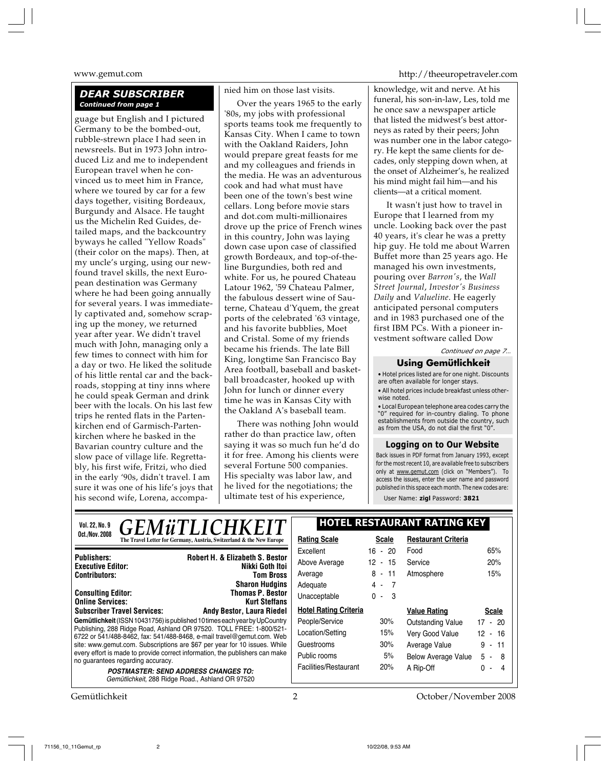### *DEAR SUBSCRIBER Continued from page 1*

guage but English and I pictured Germany to be the bombed-out, rubble-strewn place I had seen in newsreels. But in 1973 John introduced Liz and me to independent European travel when he convinced us to meet him in France, where we toured by car for a few days together, visiting Bordeaux, Burgundy and Alsace. He taught us the Michelin Red Guides, detailed maps, and the backcountry byways he called "Yellow Roads" (their color on the maps). Then, at my uncle's urging, using our newfound travel skills, the next European destination was Germany where he had been going annually for several years. I was immediately captivated and, somehow scraping up the money, we returned year after year. We didn't travel much with John, managing only a few times to connect with him for a day or two. He liked the solitude of his little rental car and the backroads, stopping at tiny inns where he could speak German and drink beer with the locals. On his last few trips he rented flats in the Partenkirchen end of Garmisch-Partenkirchen where he basked in the Bavarian country culture and the slow pace of village life. Regrettably, his first wife, Fritzi, who died in the early '90s, didn't travel. I am sure it was one of his life's joys that his second wife, Lorena, accompanied him on those last visits.

Over the years 1965 to the early '80s, my jobs with professional sports teams took me frequently to Kansas City. When I came to town with the Oakland Raiders, John would prepare great feasts for me and my colleagues and friends in the media. He was an adventurous cook and had what must have been one of the town's best wine cellars. Long before movie stars and dot.com multi-millionaires drove up the price of French wines in this country, John was laying down case upon case of classified growth Bordeaux, and top-of-theline Burgundies, both red and white. For us, he poured Chateau Latour 1962, '59 Chateau Palmer, the fabulous dessert wine of Sauterne, Chateau d'Yquem, the great ports of the celebrated '63 vintage, and his favorite bubblies, Moet and Cristal. Some of my friends became his friends. The late Bill King, longtime San Francisco Bay Area football, baseball and basketball broadcaster, hooked up with John for lunch or dinner every time he was in Kansas City with the Oakland A's baseball team.

There was nothing John would rather do than practice law, often saying it was so much fun he'd do it for free. Among his clients were several Fortune 500 companies. His specialty was labor law, and he lived for the negotiations; the ultimate test of his experience,

www.gemut.com http://theeuropetraveler.com

knowledge, wit and nerve. At his funeral, his son-in-law, Les, told me he once saw a newspaper article that listed the midwest's best attorneys as rated by their peers; John was number one in the labor category. He kept the same clients for decades, only stepping down when, at the onset of Alzheimer's, he realized his mind might fail him—and his clients—at a critical moment.

It wasn't just how to travel in Europe that I learned from my uncle. Looking back over the past 40 years, it's clear he was a pretty hip guy. He told me about Warren Buffet more than 25 years ago. He managed his own investments, pouring over *Barron's*, the *Wall Street Journal*, *Investor's Business Daily* and *Valueline*. He eagerly anticipated personal computers and in 1983 purchased one of the first IBM PCs. With a pioneer investment software called Dow

*Continued on page 7…*

### **Using Gemütlichkeit**

• Hotel prices listed are for one night. Discounts are often available for longer stays. • All hotel prices include breakfast unless other-

wise noted. • Local European telephone area codes carry the "0" required for in-country dialing. To phone

establishments from outside the country, such as from the USA, do not dial the first "0".

### **Logging on to Our Website**

Back issues in PDF format from January 1993, except for the most recent 10, are available free to subscribers only at www.gemut.com (click on "Members"). To access the issues, enter the user name and password published in this space each month. The new codes are: User Name: **zigl** Password: **3821**

| <i><b>GEMüTLICHKEIT</b></i><br>Vol. 22, No. 9                                                                                                | <b>HOTEL RESTAURANT RATING KEY</b> |              |                            |                           |
|----------------------------------------------------------------------------------------------------------------------------------------------|------------------------------------|--------------|----------------------------|---------------------------|
| Oct./Nov.2008<br>The Travel Letter for Germany, Austria, Switzerland & the New Europe                                                        | <b>Rating Scale</b>                | <b>Scale</b> | <b>Restaurant Criteria</b> |                           |
|                                                                                                                                              | Excellent                          | $16 - 20$    | Food                       | 65%                       |
| Robert H. & Elizabeth S. Bestor<br><b>Publishers:</b><br>Nikki Goth Itoi<br><b>Executive Editor:</b>                                         | Above Average                      | $12 - 15$    | Service                    | 20%                       |
| <b>Contributors:</b><br><b>Tom Bross</b>                                                                                                     | Average                            | $8 - 11$     | Atmosphere                 | 15%                       |
| <b>Sharon Hudgins</b>                                                                                                                        | Adequate                           | $4 - 7$      |                            |                           |
| <b>Thomas P. Bestor</b><br><b>Consulting Editor:</b><br><b>Online Services:</b><br><b>Kurt Steffans</b>                                      | Unacceptable                       | $0 - 3$      |                            |                           |
| <b>Subscriber Travel Services:</b><br><b>Andy Bestor, Laura Riedel</b>                                                                       | <b>Hotel Rating Criteria</b>       |              | <b>Value Rating</b>        | <b>Scale</b>              |
| Gemütlichkeit (ISSN 10431756) is published 10 times each year by UpCountry                                                                   | People/Service                     | 30%          | Outstanding Value          | $17 - 20$                 |
| Publishing, 288 Ridge Road, Ashland OR 97520. TOLL FREE: 1-800/521-<br>6722 or 541/488-8462, fax: 541/488-8468, e-mail travel@gemut.com. Web | Location/Setting                   | 15%          | Very Good Value            | $12 - 16$                 |
| site: www.gemut.com. Subscriptions are \$67 per year for 10 issues. While                                                                    | Guestrooms                         | 30%          | Average Value              | $9 - 11$                  |
| every effort is made to provide correct information, the publishers can make                                                                 | Public rooms                       | 5%           | <b>Below Average Value</b> | $5 - 8$                   |
| no guarantees regarding accuracy.<br><b>POSTMASTER: SEND ADDRESS CHANGES TO:</b><br>Gemütlichkeit, 288 Ridge Road., Ashland OR 97520         | Facilities/Restaurant              | 20%          | A Rip-Off                  | U.<br>4<br>$\blacksquare$ |

Gemütlichkeit 2 October/November 2008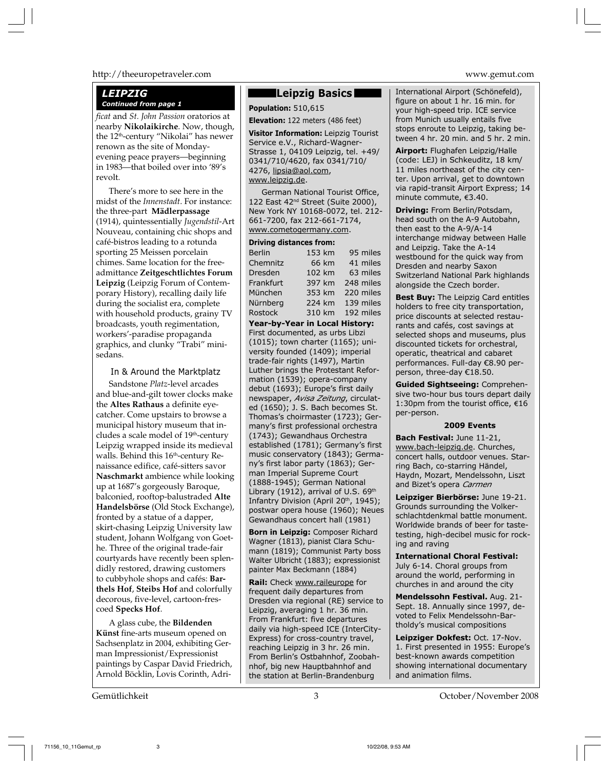### http://theeuropetraveler.com www.gemut.com

## *LEIPZIG*

*ficat* and *St. John Passion* oratorios at nearby **Nikolaikirche**. Now, though, the 12<sup>th</sup>-century "Nikolai" has newer renown as the site of Mondayevening peace prayers—beginning in 1983—that boiled over into '89's revolt.

There's more to see here in the midst of the *Innenstadt*. For instance: the three-part **Mädlerpassage** (1914), quintessentially *Jugendstil*-Art Nouveau, containing chic shops and café-bistros leading to a rotunda sporting 25 Meissen porcelain chimes. Same location for the freeadmittance **Zeitgeschtlichtes Forum Leipzig** (Leipzig Forum of Contemporary History), recalling daily life during the socialist era, complete with household products, grainy TV broadcasts, youth regimentation, workers'-paradise propaganda graphics, and clunky "Trabi" minisedans.

### In & Around the Marktplatz

Sandstone *Platz*-level arcades and blue-and-gilt tower clocks make the **Altes Rathaus** a definite eyecatcher. Come upstairs to browse a municipal history museum that includes a scale model of 19<sup>th</sup>-century Leipzig wrapped inside its medieval walls. Behind this 16<sup>th</sup>-century Renaissance edifice, café-sitters savor **Naschmarkt** ambience while looking up at 1687's gorgeously Baroque, balconied, rooftop-balustraded **Alte Handelsbörse** (Old Stock Exchange), fronted by a statue of a dapper, skirt-chasing Leipzig University law student, Johann Wolfgang von Goethe. Three of the original trade-fair courtyards have recently been splendidly restored, drawing customers to cubbyhole shops and cafés: **Barthels Hof**, **Steibs Hof** and colorfully decorous, five-level, cartoon-frescoed **Specks Hof**.

A glass cube, the **Bildenden Künst** fine-arts museum opened on Sachsenplatz in 2004, exhibiting German Impressionist/Expressionist paintings by Caspar David Friedrich, Arnold Böcklin, Lovis Corinth, Adri-

### **Leipzig Basics**

**Continued from page 1 Population:** 510,615

**Elevation:** 122 meters (486 feet)

**Visitor Information:** Leipzig Tourist Service e.V., Richard-Wagner-Strasse 1, 04109 Leipzig, tel. +49/ 0341/710/4620, fax 0341/710/ 4276, lipsia@aol.com, www.leipzig.de.

German National Tourist Office, 122 East 42<sup>nd</sup> Street (Suite 2000), New York NY 10168-0072, tel. 212- 661-7200, fax 212-661-7174, www.cometogermany.com.

### **Driving distances from:**

| <b>Berlin</b> | 153 km | 95 miles  |
|---------------|--------|-----------|
| Chemnitz      | 66 km  | 41 miles  |
| Dresden       | 102 km | 63 miles  |
| Frankfurt     | 397 km | 248 miles |
| München       | 353 km | 220 miles |
| Nürnberg      | 224 km | 139 miles |
| Rostock       | 310 km | 192 miles |

**Year-by-Year in Local History:** First documented, as urbs Libzi (1015); town charter (1165); university founded (1409); imperial trade-fair rights (1497), Martin Luther brings the Protestant Reformation (1539); opera-company debut (1693); Europe's first daily newspaper, *Avisa Zeitung*, circulated (1650); J. S. Bach becomes St. Thomas's choirmaster (1723); Germany's first professional orchestra (1743); Gewandhaus Orchestra established (1781); Germany's first music conservatory (1843); Germany's first labor party (1863); German Imperial Supreme Court (1888-1945); German National Library (1912), arrival of U.S.  $69<sup>th</sup>$ Infantry Division (April 20<sup>th</sup>, 1945); postwar opera house (1960); Neues Gewandhaus concert hall (1981)

**Born in Leipzig:** Composer Richard Wagner (1813), pianist Clara Schumann (1819); Communist Party boss Walter Ulbricht (1883); expressionist painter Max Beckmann (1884)

**Rail:** Check www.raileurope for frequent daily departures from Dresden via regional (RE) service to Leipzig, averaging 1 hr. 36 min. From Frankfurt: five departures daily via high-speed ICE (InterCity-Express) for cross-country travel, reaching Leipzig in 3 hr. 26 min. From Berlin's Ostbahnhof, Zoobahnhof, big new Hauptbahnhof and the station at Berlin-Brandenburg

International Airport (Schönefeld), figure on about 1 hr. 16 min. for your high-speed trip. ICE service from Munich usually entails five stops enroute to Leipzig, taking between 4 hr. 20 min. and 5 hr. 2 min.

**Airport:** Flughafen Leipzig/Halle (code: LEJ) in Schkeuditz, 18 km/ 11 miles northeast of the city center. Upon arrival, get to downtown via rapid-transit Airport Express; 14 minute commute,  $€3.40.$ 

**Driving:** From Berlin/Potsdam, head south on the A-9 Autobahn, then east to the A-9/A-14 interchange midway between Halle and Leipzig. Take the A-14 westbound for the quick way from Dresden and nearby Saxon Switzerland National Park highlands alongside the Czech border.

**Best Buy:** The Leipzig Card entitles holders to free city transportation, price discounts at selected restaurants and cafés, cost savings at selected shops and museums, plus discounted tickets for orchestral, operatic, theatrical and cabaret performances. Full-day €8.90 perperson, three-day €18.50.

**Guided Sightseeing:** Comprehensive two-hour bus tours depart daily 1:30pm from the tourist office,  $€16$ per-person.

### **2009 Events**

**Bach Festival:** June 11-21, www.bach-leipzig.de. Churches, concert halls, outdoor venues. Starring Bach, co-starring Händel, Haydn, Mozart, Mendelssohn, Liszt and Bizet's opera *Carmen*

**Leipziger Bierbörse:** June 19-21. Grounds surrounding the Volkerschlachtdenkmal battle monument. Worldwide brands of beer for tastetesting, high-decibel music for rocking and raving

**International Choral Festival:** July 6-14. Choral groups from around the world, performing in churches in and around the city

**Mendelssohn Festival.** Aug. 21- Sept. 18. Annually since 1997, devoted to Felix Mendelssohn-Bartholdy's musical compositions

**Leipziger Dokfest:** Oct. 17-Nov. 1. First presented in 1955: Europe's best-known awards competition showing international documentary and animation films.

Gemütlichkeit 3 October/November 2008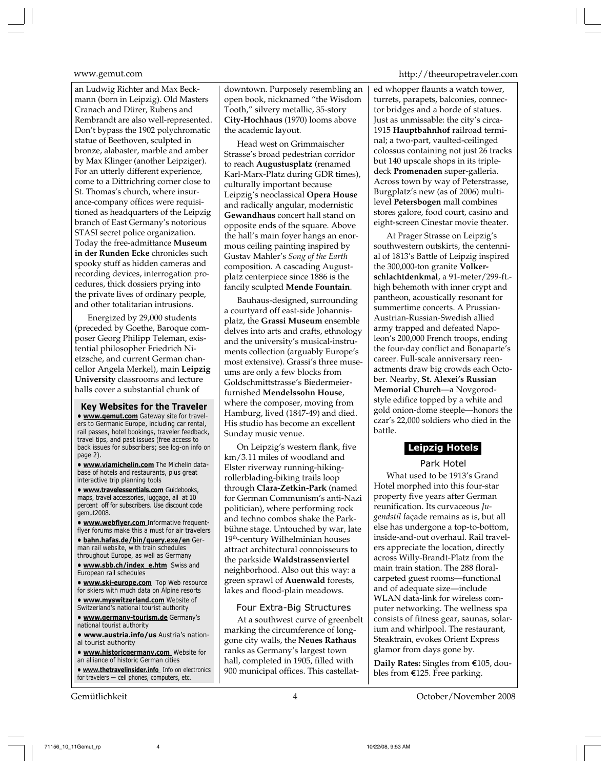an Ludwig Richter and Max Beckmann (born in Leipzig). Old Masters Cranach and Dürer, Rubens and Rembrandt are also well-represented. Don't bypass the 1902 polychromatic statue of Beethoven, sculpted in bronze, alabaster, marble and amber by Max Klinger (another Leipziger). For an utterly different experience, come to a Dittrichring corner close to St. Thomas's church, where insurance-company offices were requisitioned as headquarters of the Leipzig branch of East Germany's notorious STASI secret police organization. Today the free-admittance **Museum in der Runden Ecke** chronicles such spooky stuff as hidden cameras and recording devices, interrogation procedures, thick dossiers prying into the private lives of ordinary people, and other totalitarian intrusions.

Energized by 29,000 students (preceded by Goethe, Baroque composer Georg Philipp Teleman, existential philosopher Friedrich Nietzsche, and current German chancellor Angela Merkel), main **Leipzig University** classrooms and lecture halls cover a substantial chunk of

**Key Websites for the Traveler • www.gemut.com** Gateway site for travelers to Germanic Europe, including car rental, rail passes, hotel bookings, traveler feedback, travel tips, and past issues (free access to back issues for subscribers; see log-on info on page 2).

**• www.viamichelin.com** The Michelin database of hotels and restaurants, plus great interactive trip planning tools

**• www.travelessentials.com** Guidebooks, maps, travel accessories, luggage, all at 10 percent off for subscribers. Use discount code  $g$ cemut $2008$ 

**• www.webflyer.com** Informative frequentflyer forums make this a must for air travelers

**• bahn.hafas.de/bin/query.exe/en** German rail website, with train schedules throughout Europe, as well as Germany

**• www.sbb.ch/index\_e.htm** Swiss and European rail schedules

**• www.ski-europe.com** Top Web resource for skiers with much data on Alpine resorts

**• www.myswitzerland.com** Website of Switzerland's national tourist authority

**• www.germany-tourism.de** Germany's national tourist authority

**• www.austria.info/us** Austria's national tourist authority

**• www.historicgermany.com** Website for an alliance of historic German cities

**• www.thetravelinsider.info** Info on electronics for travelers — cell phones, computers, etc.

downtown. Purposely resembling an open book, nicknamed "the Wisdom Tooth," silvery metallic, 35-story **City-Hochhaus** (1970) looms above the academic layout.

Head west on Grimmaischer Strasse's broad pedestrian corridor to reach **Augustusplatz** (renamed Karl-Marx-Platz during GDR times), culturally important because Leipzig's neoclassical **Opera House** and radically angular, modernistic **Gewandhaus** concert hall stand on opposite ends of the square. Above the hall's main foyer hangs an enormous ceiling painting inspired by Gustav Mahler's *Song of the Earth* composition. A cascading Augustplatz centerpiece since 1886 is the fancily sculpted **Mende Fountain**.

Bauhaus-designed, surrounding a courtyard off east-side Johannisplatz, the **Grassi Museum** ensemble delves into arts and crafts, ethnology and the university's musical-instruments collection (arguably Europe's most extensive). Grassi's three museums are only a few blocks from Goldschmittstrasse's Biedermeierfurnished **Mendelssohn House**, where the composer, moving from Hamburg, lived (1847-49) and died. His studio has become an excellent Sunday music venue.

On Leipzig's western flank, five km/3.11 miles of woodland and Elster riverway running-hikingrollerblading-biking trails loop through **Clara-Zetkin-Park** (named for German Communism's anti-Nazi politician), where performing rock and techno combos shake the Parkbühne stage. Untouched by war, late 19<sup>th</sup>-century Wilhelminian houses attract architectural connoisseurs to the parkside **Waldstrassenviertel** neighborhood. Also out this way: a green sprawl of **Auenwald** forests, lakes and flood-plain meadows.

### Four Extra-Big Structures

At a southwest curve of greenbelt marking the circumference of longgone city walls, the **Neues Rathaus** ranks as Germany's largest town hall, completed in 1905, filled with 900 municipal offices. This castellat-

### www.gemut.com http://theeuropetraveler.com

ed whopper flaunts a watch tower, turrets, parapets, balconies, connector bridges and a horde of statues. Just as unmissable: the city's circa-1915 **Hauptbahnhof** railroad terminal; a two-part, vaulted-ceilinged colossus containing not just 26 tracks but 140 upscale shops in its tripledeck **Promenaden** super-galleria. Across town by way of Peterstrasse, Burgplatz's new (as of 2006) multilevel **Petersbogen** mall combines stores galore, food court, casino and eight-screen Cinestar movie theater.

At Prager Strasse on Leipzig's southwestern outskirts, the centennial of 1813's Battle of Leipzig inspired the 300,000-ton granite **Volkerschlachtdenkmal**, a 91-meter/299-ft. high behemoth with inner crypt and pantheon, acoustically resonant for summertime concerts. A Prussian-Austrian-Russian-Swedish allied army trapped and defeated Napoleon's 200,000 French troops, ending the four-day conflict and Bonaparte's career. Full-scale anniversary reenactments draw big crowds each October. Nearby, **St. Alexei's Russian Memorial Church**—a Novgorodstyle edifice topped by a white and gold onion-dome steeple—honors the czar's 22,000 soldiers who died in the battle.

### **Leipzig Hotels**

Park Hotel

What used to be 1913's Grand Hotel morphed into this four-star property five years after German reunification. Its curvaceous *Jugendstil* façade remains as is, but all else has undergone a top-to-bottom, inside-and-out overhaul. Rail travelers appreciate the location, directly across Willy-Brandt-Platz from the main train station. The 288 floralcarpeted guest rooms—functional and of adequate size—include WLAN data-link for wireless computer networking. The wellness spa consists of fitness gear, saunas, solarium and whirlpool. The restaurant, Steaktrain, evokes Orient Express glamor from days gone by.

**Daily Rates:** Singles from €105, doubles from  $E125$ . Free parking.

Gemütlichkeit 4 October/November 2008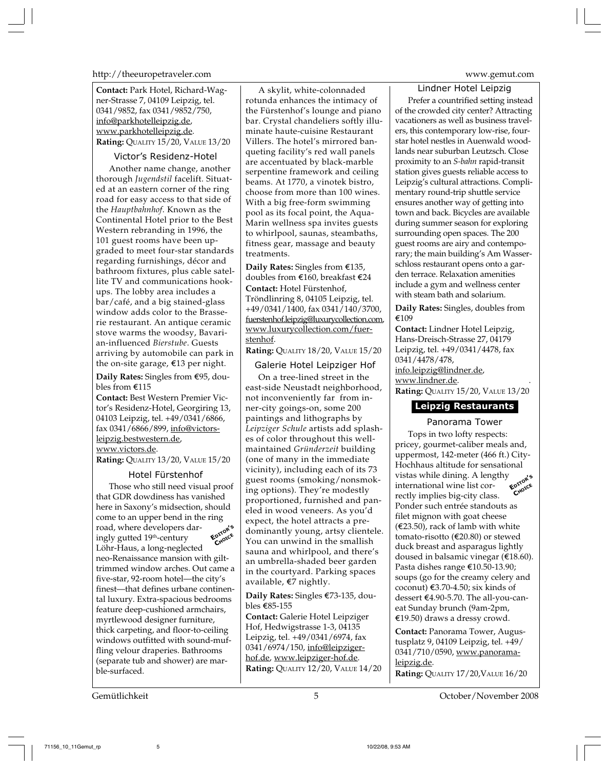http://theeuropetraveler.com www.gemut.com

**Contact:** Park Hotel, Richard-Wagner-Strasse 7, 04109 Leipzig, tel. 0341/9852, fax 0341/9852/750, info@parkhotelleipzig.de, www.parkhotelleipzig.de. **Rating:** QUALITY 15/20, VALUE 13/20

### Victor's Residenz-Hotel

Another name change, another thorough *Jugendstil* facelift. Situated at an eastern corner of the ring road for easy access to that side of the *Hauptbahnhof*. Known as the Continental Hotel prior to the Best Western rebranding in 1996, the 101 guest rooms have been upgraded to meet four-star standards regarding furnishings, décor and bathroom fixtures, plus cable satellite TV and communications hookups. The lobby area includes a bar/café, and a big stained-glass window adds color to the Brasserie restaurant. An antique ceramic stove warms the woodsy, Bavarian-influenced *Bierstube*. Guests arriving by automobile can park in the on-site garage,  $€13$  per night.

**Daily Rates:** Singles from €95, doubles from  $E115$ 

**Contact:** Best Western Premier Victor's Residenz-Hotel, Georgiring 13, 04103 Leipzig, tel. +49/0341/6866, fax 0341/6866/899, info@victorsleipzig.bestwestern.de, www.victors.de.

**Rating:** QUALITY 13/20, VALUE 15/20

### Hotel Fürstenhof

Those who still need visual proof that GDR dowdiness has vanished here in Saxony's midsection, should come to an upper bend in the ring road, where developers daringly gutted 19<sup>th</sup>-century Löhr-Haus, a long-neglected neo-Renaissance mansion with gilttrimmed window arches. Out came a five-star, 92-room hotel—the city's finest—that defines urbane continental luxury. Extra-spacious bedrooms feature deep-cushioned armchairs, myrtlewood designer furniture, thick carpeting, and floor-to-ceiling windows outfitted with sound-muffling velour draperies. Bathrooms (separate tub and shower) are marble-surfaced. **EDITOR'<sup>S</sup> CHOICE**

A skylit, white-colonnaded rotunda enhances the intimacy of the Fürstenhof's lounge and piano bar. Crystal chandeliers softly illuminate haute-cuisine Restaurant Villers. The hotel's mirrored banqueting facility's red wall panels are accentuated by black-marble serpentine framework and ceiling beams. At 1770, a vinotek bistro, choose from more than 100 wines. With a big free-form swimming pool as its focal point, the Aqua-Marin wellness spa invites guests to whirlpool, saunas, steambaths, fitness gear, massage and beauty treatments.

**Daily Rates:** Singles from €135, doubles from  $\mathfrak{E}160$  breakfast  $\mathfrak{E}24$ **Contact:** Hotel Fürstenhof, Tröndlinring 8, 04105 Leipzig, tel. +49/0341/1400, fax 0341/140/3700, fuerstenhof.leipzig@luxurycollection.com, www.luxurycollection.com/fuerstenhof.

**Rating:** QUALITY 18/20, VALUE 15/20

Galerie Hotel Leipziger Hof

On a tree-lined street in the east-side Neustadt neighborhood, not inconveniently far from inner-city goings-on, some 200 paintings and lithographs by *Leipziger Schule* artists add splashes of color throughout this wellmaintained *Gründerzeit* building (one of many in the immediate vicinity), including each of its 73 guest rooms (smoking/nonsmoking options). They're modestly proportioned, furnished and paneled in wood veneers. As you'd expect, the hotel attracts a predominantly young, artsy clientele. You can unwind in the smallish sauna and whirlpool, and there's an umbrella-shaded beer garden in the courtyard. Parking spaces available, €7 nightly.

**Daily Rates:** Singles €73-135, doubles €85-155

**Contact:** Galerie Hotel Leipziger Hof, Hedwigstrasse 1-3, 04135 Leipzig, tel. +49/0341/6974, fax 0341/6974/150, info@leipzigerhof.de, www.leipziger-hof.de. **Rating:** QUALITY 12/20, VALUE 14/20

Lindner Hotel Leipzig Prefer a countrified setting instead of the crowded city center? Attracting vacationers as well as business travelers, this contemporary low-rise, fourstar hotel nestles in Auenwald woodlands near suburban Leutzsch. Close proximity to an *S-bahn* rapid-transit station gives guests reliable access to Leipzig's cultural attractions. Complimentary round-trip shuttle service ensures another way of getting into town and back. Bicycles are available during summer season for exploring surrounding open spaces. The 200 guest rooms are airy and contemporary; the main building's Am Wasserschloss restaurant opens onto a garden terrace. Relaxation amenities include a gym and wellness center with steam bath and solarium.

**Daily Rates:** Singles, doubles from ¤109

**Contact:** Lindner Hotel Leipzig, Hans-Dreisch-Strasse 27, 04179 Leipzig, tel. +49/0341/4478, fax 0341/4478/478, info.leipzig@lindner.de, www.lindner.de. **Rating:** QUALITY 15/20, VALUE 13/20

### **Leipzig Restaurants**

### Panorama Tower

Tops in two lofty respects: pricey, gourmet-caliber meals and, uppermost, 142-meter (466 ft.) City-Hochhaus altitude for sensational vistas while dining. A lengthy international wine list correctly implies big-city class. Ponder such entrée standouts as filet mignon with goat cheese (€23.50), rack of lamb with white tomato-risotto (€20.80) or stewed duck breast and asparagus lightly doused in balsamic vinegar ( $E$ 18.60). Pasta dishes range €10.50-13.90; soups (go for the creamy celery and coconut)  $$3.70-4.50$ ; six kinds of dessert €4.90-5.70. The all-you-caneat Sunday brunch (9am-2pm, ¤19.50) draws a dressy crowd. **EDITOR'<sup>S</sup> CHOICE**

**Contact:** Panorama Tower, Augustusplatz 9, 04109 Leipzig, tel. +49/ 0341/710/0590, www.panoramaleipzig.de.

**Rating:** QUALITY 17/20,VALUE 16/20

Gemütlichkeit 5 October/November 2008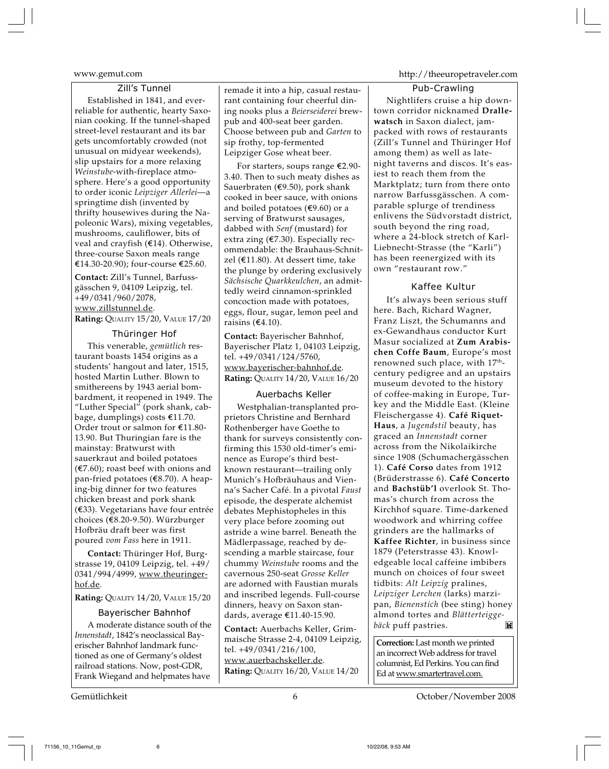### Zill's Tunnel

Established in 1841, and everreliable for authentic, hearty Saxonian cooking. If the tunnel-shaped street-level restaurant and its bar gets uncomfortably crowded (not unusual on midyear weekends), slip upstairs for a more relaxing *Weinstube*-with-fireplace atmosphere. Here's a good opportunity to order iconic *Leipziger Allerlei*—a springtime dish (invented by thrifty housewives during the Napoleonic Wars), mixing vegetables, mushrooms, cauliflower, bits of veal and crayfish  $(E14)$ . Otherwise, three-course Saxon meals range €14.30-20.90); four-course €25.60.

**Contact:** Zill's Tunnel, Barfussgässchen 9, 04109 Leipzig, tel. +49/0341/960/2078, www.zillstunnel.de. **Rating:** QUALITY 15/20, VALUE 17/20

### Thüringer Hof

This venerable, *gemütlich* restaurant boasts 1454 origins as a students' hangout and later, 1515, hosted Martin Luther. Blown to smithereens by 1943 aerial bombardment, it reopened in 1949. The "Luther Special" (pork shank, cabbage, dumplings) costs  $£11.70$ . Order trout or salmon for  $E11.80$ -13.90. But Thuringian fare is the mainstay: Bratwurst with sauerkraut and boiled potatoes  $(\text{\textsterling}7.60)$ ; roast beef with onions and pan-fried potatoes  $(€8.70)$ . A heaping-big dinner for two features chicken breast and pork shank  $(\epsilon$ 33). Vegetarians have four entrée choices (€8.20-9.50). Würzburger Hofbräu draft beer was first poured *vom Fass* here in 1911.

**Contact:** Thüringer Hof, Burgstrasse 19, 04109 Leipzig, tel. +49/ 0341/994/4999, www.theuringerhof.de.

**Rating:** QUALITY 14/20, VALUE 15/20

### Bayerischer Bahnhof

A moderate distance south of the *Innenstadt*, 1842's neoclassical Bayerischer Bahnhof landmark functioned as one of Germany's oldest railroad stations. Now, post-GDR, Frank Wiegand and helpmates have

remade it into a hip, casual restaurant containing four cheerful dining nooks plus a *Beierseiderei* brewpub and 400-seat beer garden. Choose between pub and *Garten* to sip frothy, top-fermented Leipziger Gose wheat beer.

For starters, soups range  $E$ 2.90-3.40. Then to such meaty dishes as Sauerbraten ( $\epsilon$ 9.50), pork shank cooked in beer sauce, with onions and boiled potatoes ( $$9.60$ ) or a serving of Bratwurst sausages, dabbed with *Senf* (mustard) for extra zing ( $E$ 7.30). Especially recommendable: the Brauhaus-Schnitzel ( $E$ 11.80). At dessert time, take the plunge by ordering exclusively *Sächsische Quarkkeulchen*, an admittedly weird cinnamon-sprinkled concoction made with potatoes, eggs, flour, sugar, lemon peel and raisins  $(€4.10)$ .

**Contact:** Bayerischer Bahnhof, Bayerischer Platz 1, 04103 Leipzig, tel. +49/0341/124/5760, www.bayerischer-bahnhof.de. **Rating: QUALITY 14/20, VALUE 16/20** 

### Auerbachs Keller

Westphalian-transplanted proprietors Christine and Bernhard Rothenberger have Goethe to thank for surveys consistently confirming this 1530 old-timer's eminence as Europe's third bestknown restaurant—trailing only Munich's Hofbräuhaus and Vienna's Sacher Café. In a pivotal *Faust* episode, the desperate alchemist debates Mephistopheles in this very place before zooming out astride a wine barrel. Beneath the Mädlerpassage, reached by descending a marble staircase, four chummy *Weinstube* rooms and the cavernous 250-seat *Grosse Keller* are adorned with Faustian murals and inscribed legends. Full-course dinners, heavy on Saxon standards, average €11.40-15.90.

**Contact:** Auerbachs Keller, Grimmaische Strasse 2-4, 04109 Leipzig, tel. +49/0341/216/100, www.auerbachskeller.de. **Rating:** QUALITY 16/20, VALUE 14/20

### www.gemut.com http://theeuropetraveler.com

### Pub-Crawling

Nightlifers cruise a hip downtown corridor nicknamed **Drallewatsch** in Saxon dialect, jampacked with rows of restaurants (Zill's Tunnel and Thüringer Hof among them) as well as latenight taverns and discos. It's easiest to reach them from the Marktplatz; turn from there onto narrow Barfussgässchen. A comparable splurge of trendiness enlivens the Südvorstadt district, south beyond the ring road, where a 24-block stretch of Karl-Liebnecht-Strasse (the "Karli") has been reenergized with its own "restaurant row."

### Kaffee Kultur

It's always been serious stuff here. Bach, Richard Wagner, Franz Liszt, the Schumanns and ex-Gewandhaus conductor Kurt Masur socialized at **Zum Arabischen Coffe Baum**, Europe's most renowned such place, with 17<sup>th</sup>century pedigree and an upstairs museum devoted to the history of coffee-making in Europe, Turkey and the Middle East. (Kleine Fleischergasse 4). **Café Riquet-Haus**, a *Jugendstil* beauty, has graced an *Innenstadt* corner across from the Nikolaikirche since 1908 (Schumachergässchen 1). **Café Corso** dates from 1912 (Brüderstrasse 6). **Café Concerto** and **Bachstüb'l** overlook St. Thomas's church from across the Kirchhof square. Time-darkened woodwork and whirring coffee grinders are the hallmarks of **Kaffee Richter**, in business since 1879 (Peterstrasse 43). Knowledgeable local caffeine imbibers munch on choices of four sweet tidbits: *Alt Leipzig* pralines, *Leipziger Lerchen* (larks) marzipan, *Bienenstich* (bee sting) honey almond tortes and *Blätterteigge-***Ind** *bäck* puff pastries.

**Correction:** Last month we printed an incorrect Web address for travel columnist, Ed Perkins. You can find Ed at www.smartertravel.com.

Gemütlichkeit 6 October/November 2008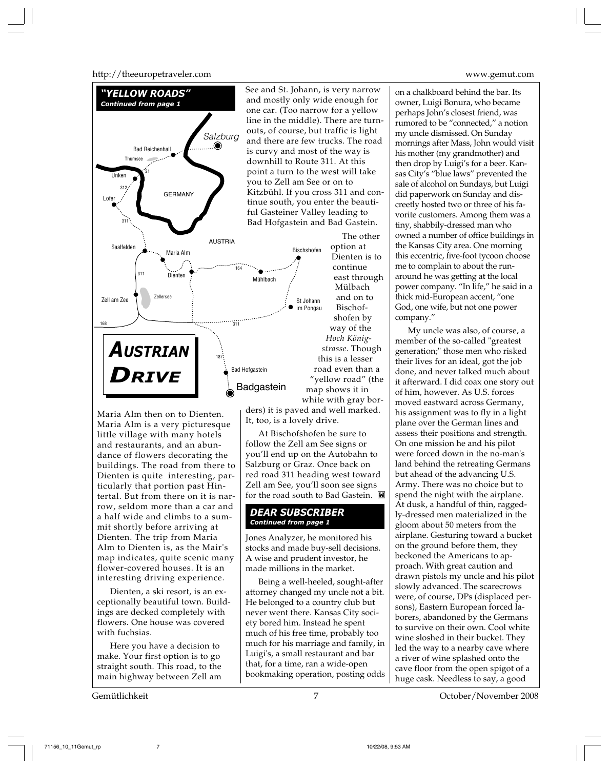http://theeuropetraveler.com www.gemut.com



Maria Alm then on to Dienten. Maria Alm is a very picturesque little village with many hotels and restaurants, and an abundance of flowers decorating the buildings. The road from there to Dienten is quite interesting, particularly that portion past Hintertal. But from there on it is narrow, seldom more than a car and a half wide and climbs to a summit shortly before arriving at Dienten. The trip from Maria Alm to Dienten is, as the Mair's map indicates, quite scenic many flower-covered houses. It is an interesting driving experience.

Dienten, a ski resort, is an exceptionally beautiful town. Buildings are decked completely with flowers. One house was covered with fuchsias.

Here you have a decision to make. Your first option is to go straight south. This road, to the main highway between Zell am

ders) it is paved and well marked. It, too, is a lovely drive.

At Bischofshofen be sure to follow the Zell am See signs or you'll end up on the Autobahn to Salzburg or Graz. Once back on red road 311 heading west toward Zell am See, you'll soon see signs for the road south to Bad Gastein.

### *DEAR SUBSCRIBER Continued from page 1*

Jones Analyzer, he monitored his stocks and made buy-sell decisions. A wise and prudent investor, he made millions in the market.

Being a well-heeled, sought-after attorney changed my uncle not a bit. He belonged to a country club but never went there. Kansas City society bored him. Instead he spent much of his free time, probably too much for his marriage and family, in Luigi's, a small restaurant and bar that, for a time, ran a wide-open bookmaking operation, posting odds

on a chalkboard behind the bar. Its owner, Luigi Bonura, who became perhaps John's closest friend, was rumored to be "connected," a notion my uncle dismissed. On Sunday mornings after Mass, John would visit his mother (my grandmother) and then drop by Luigi's for a beer. Kansas City's "blue laws" prevented the sale of alcohol on Sundays, but Luigi did paperwork on Sunday and discreetly hosted two or three of his favorite customers. Among them was a tiny, shabbily-dressed man who owned a number of office buildings in the Kansas City area. One morning this eccentric, five-foot tycoon choose me to complain to about the runaround he was getting at the local power company. "In life," he said in a thick mid-European accent, "one God, one wife, but not one power company."

My uncle was also, of course, a member of the so-called "greatest generation;" those men who risked their lives for an ideal, got the job done, and never talked much about it afterward. I did coax one story out of him, however. As U.S. forces moved eastward across Germany, his assignment was to fly in a light plane over the German lines and assess their positions and strength. On one mission he and his pilot were forced down in the no-man's land behind the retreating Germans but ahead of the advancing U.S. Army. There was no choice but to spend the night with the airplane. At dusk, a handful of thin, raggedly-dressed men materialized in the gloom about 50 meters from the airplane. Gesturing toward a bucket on the ground before them, they beckoned the Americans to approach. With great caution and drawn pistols my uncle and his pilot slowly advanced. The scarecrows were, of course, DPs (displaced persons), Eastern European forced laborers, abandoned by the Germans to survive on their own. Cool white wine sloshed in their bucket. They led the way to a nearby cave where a river of wine splashed onto the cave floor from the open spigot of a huge cask. Needless to say, a good

Gemütlichkeit 7 October/November 2008